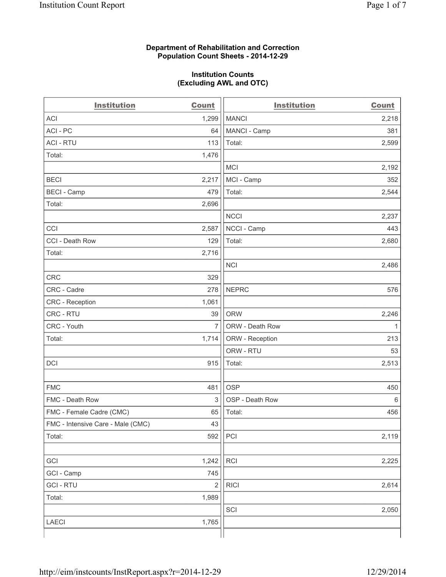### **Department of Rehabilitation and Correction Population Count Sheets - 2014-12-29**

#### **Institution Counts (Excluding AWL and OTC)**

| <b>Institution</b>                | <b>Count</b>   | <b>Institution</b> | <b>Count</b> |
|-----------------------------------|----------------|--------------------|--------------|
| <b>ACI</b>                        | 1,299          | <b>MANCI</b>       | 2,218        |
| ACI-PC                            | 64             | MANCI - Camp       | 381          |
| <b>ACI - RTU</b>                  | 113            | Total:             | 2,599        |
| Total:                            | 1,476          |                    |              |
|                                   |                | <b>MCI</b>         | 2,192        |
| <b>BECI</b>                       | 2,217          | MCI - Camp         | 352          |
| <b>BECI - Camp</b>                | 479            | Total:             | 2,544        |
| Total:                            | 2,696          |                    |              |
|                                   |                | <b>NCCI</b>        | 2,237        |
| CCI                               | 2,587          | NCCI - Camp        | 443          |
| CCI - Death Row                   | 129            | Total:             | 2,680        |
| Total:                            | 2,716          |                    |              |
|                                   |                | <b>NCI</b>         | 2,486        |
| <b>CRC</b>                        | 329            |                    |              |
| CRC - Cadre                       | 278            | <b>NEPRC</b>       | 576          |
| CRC - Reception                   | 1,061          |                    |              |
| CRC - RTU                         | 39             | <b>ORW</b>         | 2,246        |
| CRC - Youth                       | $\overline{7}$ | ORW - Death Row    | 1            |
| Total:                            | 1,714          | ORW - Reception    | 213          |
|                                   |                | ORW - RTU          | 53           |
| DCI                               | 915            | Total:             | 2,513        |
|                                   |                |                    |              |
| <b>FMC</b>                        | 481            | <b>OSP</b>         | 450          |
| FMC - Death Row                   | 3              | OSP - Death Row    | 6            |
| FMC - Female Cadre (CMC)          | 65             | Total:             | 456          |
| FMC - Intensive Care - Male (CMC) | 43             |                    |              |
| Total:                            | 592            | PCI                | 2,119        |
|                                   |                |                    |              |
| GCI                               | 1,242          | RCI                | 2,225        |
| GCI - Camp                        | 745            |                    |              |
| <b>GCI-RTU</b>                    | $\overline{2}$ | <b>RICI</b>        | 2,614        |
| Total:                            | 1,989          |                    |              |
|                                   |                | SCI                | 2,050        |
| <b>LAECI</b>                      | 1,765          |                    |              |
|                                   |                |                    |              |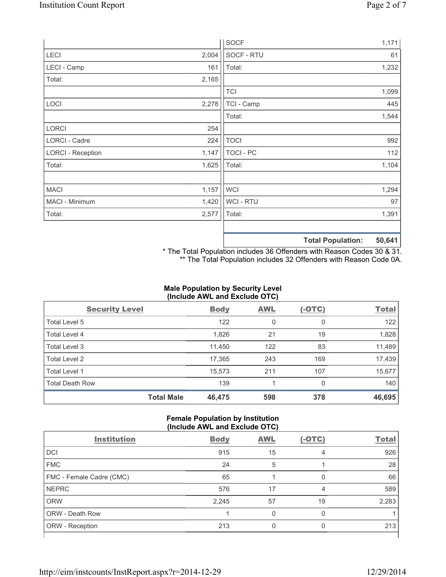|                          |       | <b>SOCF</b> | 1,171                                     |
|--------------------------|-------|-------------|-------------------------------------------|
| <b>LECI</b>              | 2,004 | SOCF - RTU  | 61                                        |
| LECI - Camp              | 161   | Total:      | 1,232                                     |
| Total:                   | 2,165 |             |                                           |
|                          |       | <b>TCI</b>  | 1,099                                     |
| LOCI                     | 2,278 | TCI - Camp  | 445                                       |
|                          |       | Total:      | 1,544                                     |
| <b>LORCI</b>             | 254   |             |                                           |
| LORCI - Cadre            | 224   | <b>TOCI</b> | 992                                       |
| <b>LORCI - Reception</b> | 1,147 | TOCI - PC   | 112                                       |
| Total:                   | 1,625 | Total:      | 1,104                                     |
|                          |       |             |                                           |
| <b>MACI</b>              | 1,157 | <b>WCI</b>  | 1,294                                     |
| MACI - Minimum           | 1,420 | WCI - RTU   | 97                                        |
| Total:                   | 2,577 | Total:      | 1,391                                     |
|                          |       |             |                                           |
|                          |       |             | <b>50 641</b><br><b>Total Donulation:</b> |

**Total Population: 50,641** \* The Total Population includes 36 Offenders with Reason Codes 30 & 31.

\*\* The Total Population includes 32 Offenders with Reason Code 0A.

## **Male Population by Security Level (Include AWL and Exclude OTC)**

| <b>Security Level</b>  |                   | <b>Body</b> | <b>AWL</b> | $(-OTC)$     | <b>Total</b> |
|------------------------|-------------------|-------------|------------|--------------|--------------|
| Total Level 5          |                   | 122         | 0          | $\mathbf{0}$ | 122          |
| Total Level 4          |                   | 1,826       | 21         | 19           | 1,828        |
| Total Level 3          |                   | 11,450      | 122        | 83           | 11,489       |
| Total Level 2          |                   | 17,365      | 243        | 169          | 17,439       |
| <b>Total Level 1</b>   |                   | 15,573      | 211        | 107          | 15,677       |
| <b>Total Death Row</b> |                   | 139         |            | 0            | 140          |
|                        | <b>Total Male</b> | 46,475      | 598        | 378          | 46,695       |

#### **Female Population by Institution (Include AWL and Exclude OTC)**

| <b>Institution</b>       | <b>Body</b> | <b>AWL</b> | $(-OTC)$ | <b>Total</b> |
|--------------------------|-------------|------------|----------|--------------|
| <b>DCI</b>               | 915         | 15         | 4        | 926          |
| <b>FMC</b>               | 24          | 5          |          | 28           |
| FMC - Female Cadre (CMC) | 65          |            | 0        | 66           |
| <b>NEPRC</b>             | 576         | 17         | 4        | 589          |
| <b>ORW</b>               | 2,245       | 57         | 19       | 2,283        |
| <b>ORW - Death Row</b>   |             | U          | 0        |              |
| ORW - Reception          | 213         |            |          | 213          |
|                          |             |            |          |              |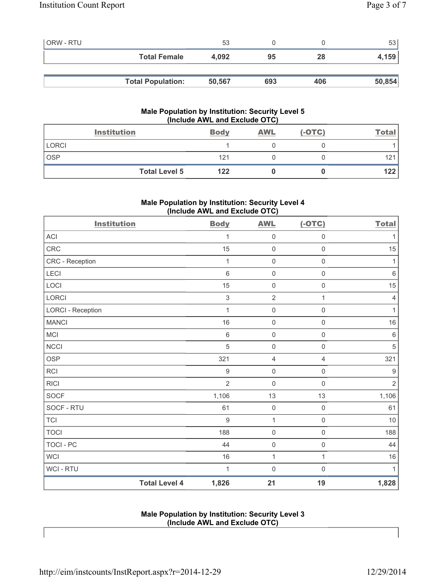| <b>ORW - RTU</b> |                          | 53     |     |     | 53     |
|------------------|--------------------------|--------|-----|-----|--------|
|                  | <b>Total Female</b>      | 4.092  | 95  | 28  | 4,159  |
|                  |                          |        |     |     |        |
|                  | <b>Total Population:</b> | 50,567 | 693 | 406 | 50,854 |

## **Male Population by Institution: Security Level 5 (Include AWL and Exclude OTC)**

|              | <b>Institution</b>   | <b>Body</b> | <b>AWL</b> | $(-OTC)$ | <u>Total</u> |
|--------------|----------------------|-------------|------------|----------|--------------|
| <b>LORCI</b> |                      |             |            |          |              |
| <b>OSP</b>   |                      | 121         |            |          | 121          |
|              | <b>Total Level 5</b> | 122         |            |          | 122          |

# **Male Population by Institution: Security Level 4 (Include AWL and Exclude OTC)**

| <b>Institution</b>       |                      | <b>Body</b>    | <b>AWL</b>          | $(-OTC)$            | <b>Total</b>     |
|--------------------------|----------------------|----------------|---------------------|---------------------|------------------|
| <b>ACI</b>               |                      | 1              | $\mathsf{O}\xspace$ | $\mathsf{O}\xspace$ | $\mathbf{1}$     |
| CRC                      |                      | 15             | $\mathsf{O}\xspace$ | $\mathsf{O}\xspace$ | 15               |
| CRC - Reception          |                      | 1              | $\mathsf{O}\xspace$ | $\mathsf{O}\xspace$ | 1                |
| LECI                     |                      | $\,6$          | $\mathsf{O}\xspace$ | $\mathsf{O}\xspace$ | $\,6\,$          |
| LOCI                     |                      | 15             | $\mathsf{O}\xspace$ | $\mathsf{O}\xspace$ | 15               |
| <b>LORCI</b>             |                      | $\mathsf 3$    | $\overline{2}$      | 1                   | $\overline{4}$   |
| <b>LORCI - Reception</b> |                      | $\mathbf{1}$   | $\mathsf{O}\xspace$ | $\mathsf{O}\xspace$ | $\mathbf{1}$     |
| <b>MANCI</b>             |                      | 16             | $\mathsf{O}\xspace$ | $\mathbf 0$         | 16               |
| <b>MCI</b>               |                      | $\,6$          | $\mathsf{O}\xspace$ | $\mathsf{O}\xspace$ | $\,6\,$          |
| <b>NCCI</b>              |                      | 5              | $\mathsf{O}\xspace$ | $\mathsf 0$         | $\sqrt{5}$       |
| <b>OSP</b>               |                      | 321            | $\overline{4}$      | 4                   | 321              |
| <b>RCI</b>               |                      | $9\,$          | $\mathsf{O}\xspace$ | $\mathsf{O}\xspace$ | $\boldsymbol{9}$ |
| <b>RICI</b>              |                      | $\overline{2}$ | $\mathsf{O}\xspace$ | $\mathsf{O}\xspace$ | $\sqrt{2}$       |
| <b>SOCF</b>              |                      | 1,106          | 13                  | 13                  | 1,106            |
| SOCF - RTU               |                      | 61             | $\mathsf{O}\xspace$ | $\mathsf 0$         | 61               |
| <b>TCI</b>               |                      | $\overline{9}$ | $\mathbf{1}$        | $\mathsf{O}\xspace$ | $10$             |
| <b>TOCI</b>              |                      | 188            | $\mathsf{O}\xspace$ | $\mathsf{O}\xspace$ | 188              |
| <b>TOCI - PC</b>         |                      | 44             | $\mathsf{O}\xspace$ | $\mathsf{O}\xspace$ | 44               |
| <b>WCI</b>               |                      | 16             | $\mathbf 1$         | $\mathbf{1}$        | $16$             |
| WCI - RTU                |                      | 1              | $\mathbf 0$         | $\mathbf 0$         | 1                |
|                          | <b>Total Level 4</b> | 1,826          | 21                  | 19                  | 1,828            |

**Male Population by Institution: Security Level 3 (Include AWL and Exclude OTC)**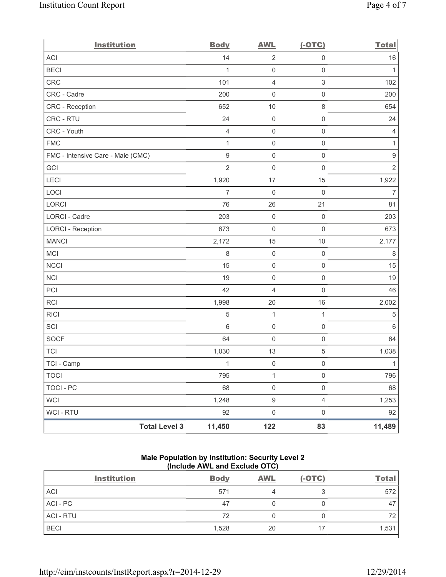| <b>Institution</b>                | <b>Body</b>      | <b>AWL</b>          | $(-OTC)$                  | <b>Total</b>     |
|-----------------------------------|------------------|---------------------|---------------------------|------------------|
| <b>ACI</b>                        | 14               | $\overline{2}$      | $\mathsf{O}\xspace$       | $16$             |
| <b>BECI</b>                       | 1                | $\mathsf{O}\xspace$ | $\mathbf 0$               | 1                |
| CRC                               | 101              | 4                   | $\ensuremath{\mathsf{3}}$ | 102              |
| CRC - Cadre                       | 200              | 0                   | $\mathsf{O}\xspace$       | 200              |
| CRC - Reception                   | 652              | 10                  | $\,8\,$                   | 654              |
| CRC - RTU                         | 24               | $\mathsf{O}\xspace$ | $\mathsf{O}\xspace$       | 24               |
| CRC - Youth                       | $\overline{4}$   | $\mathsf{O}\xspace$ | $\mathsf{O}\xspace$       | 4                |
| <b>FMC</b>                        | $\mathbf{1}$     | $\mathsf{O}\xspace$ | $\mathsf{O}\xspace$       | $\mathbf{1}$     |
| FMC - Intensive Care - Male (CMC) | $\boldsymbol{9}$ | $\mathsf{O}\xspace$ | $\mathsf 0$               | $\boldsymbol{9}$ |
| GCI                               | $\overline{2}$   | $\mathsf{O}\xspace$ | $\mathsf{O}\xspace$       | $\sqrt{2}$       |
| LECI                              | 1,920            | 17                  | 15                        | 1,922            |
| LOCI                              | $\overline{7}$   | $\mathsf{O}\xspace$ | $\mathbf 0$               | $\overline{7}$   |
| LORCI                             | 76               | 26                  | 21                        | 81               |
| LORCI - Cadre                     | 203              | $\mathsf{O}\xspace$ | $\mathsf{O}\xspace$       | 203              |
| <b>LORCI - Reception</b>          | 673              | $\mathsf{O}\xspace$ | $\mathsf{O}\xspace$       | 673              |
| <b>MANCI</b>                      | 2,172            | 15                  | 10                        | 2,177            |
| <b>MCI</b>                        | 8                | $\mathsf{O}\xspace$ | $\mathsf 0$               | 8                |
| <b>NCCI</b>                       | 15               | $\mathsf{O}\xspace$ | $\mathsf 0$               | 15               |
| <b>NCI</b>                        | 19               | $\mathsf{O}\xspace$ | $\mathsf 0$               | 19               |
| PCI                               | 42               | 4                   | $\mathsf{O}\xspace$       | 46               |
| <b>RCI</b>                        | 1,998            | 20                  | 16                        | 2,002            |
| <b>RICI</b>                       | $\sqrt{5}$       | 1                   | $\mathbf{1}$              | 5                |
| SCI                               | 6                | $\mathsf{O}\xspace$ | $\mathsf 0$               | $\,6\,$          |
| SOCF                              | 64               | $\mathsf 0$         | $\mathsf{O}\xspace$       | 64               |
| <b>TCI</b>                        | 1,030            | 13                  | $\,$ 5 $\,$               | 1,038            |
| TCI - Camp                        | $\mathbf{1}$     | $\mathbf 0$         | $\mathsf{O}\xspace$       | $\mathbf{1}$     |
| <b>TOCI</b>                       | 795              | 1                   | $\mathsf{O}\xspace$       | 796              |
| <b>TOCI - PC</b>                  | 68               | $\mathsf 0$         | $\mathsf{O}\xspace$       | 68               |
| <b>WCI</b>                        | 1,248            | $\boldsymbol{9}$    | $\overline{4}$            | 1,253            |
| WCI - RTU                         | 92               | $\mathsf 0$         | $\mathsf{O}\xspace$       | 92               |
| <b>Total Level 3</b>              | 11,450           | 122                 | 83                        | 11,489           |

# **Male Population by Institution: Security Level 2 (Include AWL and Exclude OTC)**

|                  | <b>Institution</b> | <b>Body</b> | <b>AWL</b> | $(-OTC)$ | <b>Total</b> |
|------------------|--------------------|-------------|------------|----------|--------------|
| <b>ACI</b>       |                    | 571         |            |          | 572          |
| ACI-PC           |                    | 47          |            |          | 47           |
| <b>ACI - RTU</b> |                    | 72          |            |          | 72           |
| <b>BECI</b>      |                    | 1,528       | 20         | 17       | 1,531        |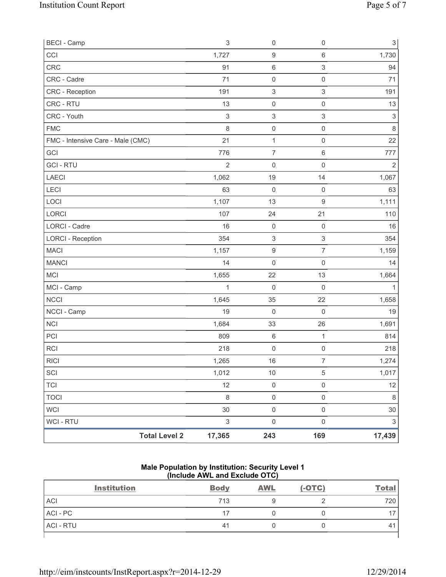| <b>BECI</b> - Camp                |                      | $\ensuremath{\mathsf{3}}$ | $\mathsf{O}\xspace$       | $\mathsf 0$               | $\sqrt{3}$                |
|-----------------------------------|----------------------|---------------------------|---------------------------|---------------------------|---------------------------|
| CCI                               |                      | 1,727                     | $\boldsymbol{9}$          | $\,6\,$                   | 1,730                     |
| <b>CRC</b>                        |                      | 91                        | 6                         | $\ensuremath{\mathsf{3}}$ | 94                        |
| CRC - Cadre                       |                      | 71                        | $\mathsf{O}\xspace$       | $\mathsf 0$               | 71                        |
| <b>CRC</b> - Reception            |                      | 191                       | $\ensuremath{\mathsf{3}}$ | $\ensuremath{\mathsf{3}}$ | 191                       |
| CRC - RTU                         |                      | 13                        | $\mathsf{O}\xspace$       | $\mathsf 0$               | 13                        |
| CRC - Youth                       |                      | $\sqrt{3}$                | $\ensuremath{\mathsf{3}}$ | $\sqrt{3}$                | $\sqrt{3}$                |
| <b>FMC</b>                        |                      | 8                         | $\mathsf 0$               | $\mathsf 0$               | $\,8\,$                   |
| FMC - Intensive Care - Male (CMC) |                      | 21                        | $\mathbf{1}$              | $\mathsf 0$               | 22                        |
| GCI                               |                      | 776                       | $\overline{7}$            | $\,6\,$                   | 777                       |
| <b>GCI-RTU</b>                    |                      | $\overline{2}$            | 0                         | $\mathbf 0$               | $\overline{2}$            |
| LAECI                             |                      | 1,062                     | 19                        | 14                        | 1,067                     |
| <b>LECI</b>                       |                      | 63                        | $\mathsf{O}\xspace$       | $\mathsf 0$               | 63                        |
| LOCI                              |                      | 1,107                     | 13                        | $\boldsymbol{9}$          | 1,111                     |
| LORCI                             |                      | 107                       | 24                        | 21                        | 110                       |
| <b>LORCI - Cadre</b>              |                      | 16                        | $\mathsf{O}\xspace$       | $\mathsf 0$               | 16                        |
| <b>LORCI - Reception</b>          |                      | 354                       | $\ensuremath{\mathsf{3}}$ | $\ensuremath{\mathsf{3}}$ | 354                       |
| <b>MACI</b>                       |                      | 1,157                     | $\boldsymbol{9}$          | $\overline{7}$            | 1,159                     |
| <b>MANCI</b>                      |                      | 14                        | $\mathsf{O}\xspace$       | $\mathsf 0$               | 14                        |
| MCI                               |                      | 1,655                     | 22                        | 13                        | 1,664                     |
| MCI - Camp                        |                      | 1                         | 0                         | $\mathsf 0$               | 1                         |
| <b>NCCI</b>                       |                      | 1,645                     | 35                        | 22                        | 1,658                     |
| NCCI - Camp                       |                      | 19                        | $\mathbf 0$               | $\mathsf{O}\xspace$       | 19                        |
| <b>NCI</b>                        |                      | 1,684                     | 33                        | 26                        | 1,691                     |
| PCI                               |                      | 809                       | $\,6\,$                   | $\mathbf{1}$              | 814                       |
| <b>RCI</b>                        |                      | 218                       | $\mathsf{O}\xspace$       | $\mathsf 0$               | 218                       |
| <b>RICI</b>                       |                      | 1,265                     | 16                        | $\overline{7}$            | 1,274                     |
| SCI                               |                      | 1,012                     | $10$                      | $\sqrt{5}$                | 1,017                     |
| <b>TCI</b>                        |                      | 12                        | $\mathsf{O}\xspace$       | $\mathsf{O}\xspace$       | 12                        |
| <b>TOCI</b>                       |                      | $\,8\,$                   | $\mathsf{O}\xspace$       | $\mathsf 0$               | $\,8\,$                   |
| <b>WCI</b>                        |                      | 30                        | $\mathsf 0$               | $\mathsf{O}\xspace$       | 30                        |
| <b>WCI - RTU</b>                  |                      | $\ensuremath{\mathsf{3}}$ | $\mathsf{O}\xspace$       | $\mathsf{O}\xspace$       | $\ensuremath{\mathsf{3}}$ |
|                                   | <b>Total Level 2</b> | 17,365                    | 243                       | 169                       | 17,439                    |

### **Male Population by Institution: Security Level 1 (Include AWL and Exclude OTC)**

| <b>Institution</b> | <b>Body</b> | <b>AWL</b> | $(-OTC)$ | <b>Total</b> |
|--------------------|-------------|------------|----------|--------------|
| <b>ACI</b>         | 713         |            |          | 720          |
| ACI - PC           | 17          |            |          |              |
| <b>ACI - RTU</b>   | 41          |            |          | 4            |
|                    |             |            |          |              |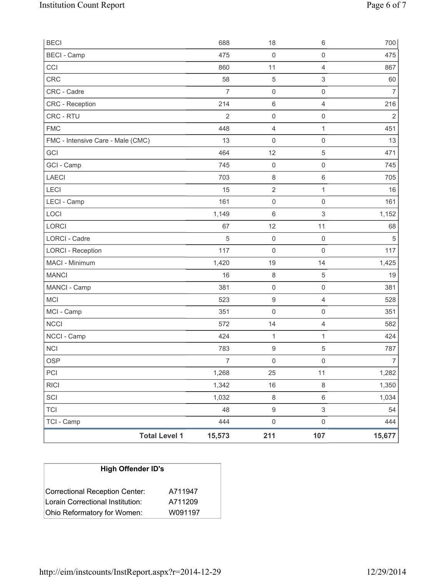| <b>BECI</b>                       | 688            | 18                  | $6\,$               | 700            |
|-----------------------------------|----------------|---------------------|---------------------|----------------|
| <b>BECI</b> - Camp                | 475            | $\mathsf{O}\xspace$ | $\mathbf 0$         | 475            |
| CCI                               | 860            | 11                  | $\overline{4}$      | 867            |
| CRC                               | 58             | 5                   | $\sqrt{3}$          | 60             |
| CRC - Cadre                       | $\overline{7}$ | $\mathsf 0$         | $\mathsf 0$         | $\overline{7}$ |
| <b>CRC</b> - Reception            | 214            | 6                   | $\overline{4}$      | 216            |
| CRC - RTU                         | $\overline{2}$ | $\mathsf{O}\xspace$ | $\mathsf 0$         | $\overline{2}$ |
| <b>FMC</b>                        | 448            | 4                   | 1                   | 451            |
| FMC - Intensive Care - Male (CMC) | 13             | $\mathbf 0$         | $\mathsf{O}\xspace$ | 13             |
| GCI                               | 464            | 12                  | $\sqrt{5}$          | 471            |
| GCI - Camp                        | 745            | $\mathsf{O}\xspace$ | $\mathbf 0$         | 745            |
| LAECI                             | 703            | $\,8\,$             | $\,6\,$             | 705            |
| LECI                              | 15             | $\sqrt{2}$          | 1                   | 16             |
| LECI - Camp                       | 161            | $\boldsymbol{0}$    | $\mathbf 0$         | 161            |
| LOCI                              | 1,149          | $\,6\,$             | $\mathsf 3$         | 1,152          |
| LORCI                             | 67             | 12                  | 11                  | 68             |
| <b>LORCI - Cadre</b>              | $\sqrt{5}$     | $\mathbf 0$         | $\mathsf 0$         | $\sqrt{5}$     |
| <b>LORCI - Reception</b>          | 117            | $\mathsf{O}\xspace$ | $\mathsf 0$         | 117            |
| MACI - Minimum                    | 1,420          | 19                  | 14                  | 1,425          |
| <b>MANCI</b>                      | 16             | $\,8\,$             | $\sqrt{5}$          | 19             |
| MANCI - Camp                      | 381            | $\mathsf{O}\xspace$ | $\mathbf 0$         | 381            |
| <b>MCI</b>                        | 523            | $\boldsymbol{9}$    | $\overline{4}$      | 528            |
| MCI - Camp                        | 351            | $\mathsf{O}\xspace$ | $\mathsf{O}\xspace$ | 351            |
| <b>NCCI</b>                       | 572            | 14                  | $\overline{4}$      | 582            |
| NCCI - Camp                       | 424            | $\mathbf{1}$        | 1                   | 424            |
| <b>NCI</b>                        | 783            | 9                   | $\sqrt{5}$          | 787            |
| <b>OSP</b>                        | $\overline{7}$ | $\mathsf{O}\xspace$ | $\mathsf 0$         | $\overline{7}$ |
| PCI                               | 1,268          | 25                  | 11                  | 1,282          |
| <b>RICI</b>                       | 1,342          | 16                  | $\,8\,$             | 1,350          |
| SCI                               | 1,032          | $\,8\,$             | $\,6\,$             | 1,034          |
| <b>TCI</b>                        | 48             | $\hbox{9}$          | $\mathfrak{S}$      | 54             |
| TCI - Camp                        | 444            | $\mathsf{O}\xspace$ | $\mathsf 0$         | 444            |
| <b>Total Level 1</b>              | 15,573         | 211                 | 107                 | 15,677         |

| <b>High Offender ID's</b>        |         |
|----------------------------------|---------|
| Correctional Reception Center:   | A711947 |
| Lorain Correctional Institution: | A711209 |
| Ohio Reformatory for Women:      | W091197 |